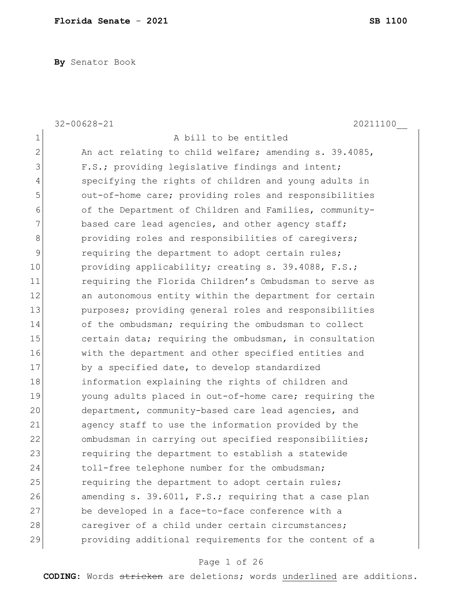**By** Senator Book

|                | $32 - 00628 - 21$<br>20211100                          |
|----------------|--------------------------------------------------------|
| $\mathbf 1$    | A bill to be entitled                                  |
| $\overline{2}$ | An act relating to child welfare; amending s. 39.4085, |
| 3              | F.S.; providing legislative findings and intent;       |
| 4              | specifying the rights of children and young adults in  |
| 5              | out-of-home care; providing roles and responsibilities |
| 6              | of the Department of Children and Families, community- |
| 7              | based care lead agencies, and other agency staff;      |
| $\,8\,$        | providing roles and responsibilities of caregivers;    |
| $\mathsf 9$    | requiring the department to adopt certain rules;       |
| 10             | providing applicability; creating s. 39.4088, F.S.;    |
| 11             | requiring the Florida Children's Ombudsman to serve as |
| 12             | an autonomous entity within the department for certain |
| 13             | purposes; providing general roles and responsibilities |
| 14             | of the ombudsman; requiring the ombudsman to collect   |
| 15             | certain data; requiring the ombudsman, in consultation |
| 16             | with the department and other specified entities and   |
| 17             | by a specified date, to develop standardized           |
| 18             | information explaining the rights of children and      |
| 19             | young adults placed in out-of-home care; requiring the |
| 20             | department, community-based care lead agencies, and    |
| 21             | agency staff to use the information provided by the    |
| 22             | ombudsman in carrying out specified responsibilities;  |
| 23             | requiring the department to establish a statewide      |
| 24             | toll-free telephone number for the ombudsman;          |
| 25             | requiring the department to adopt certain rules;       |
| 26             | amending s. 39.6011, F.S.; requiring that a case plan  |
| 27             | be developed in a face-to-face conference with a       |
| 28             | caregiver of a child under certain circumstances;      |
| 29             | providing additional requirements for the content of a |

## Page 1 of 26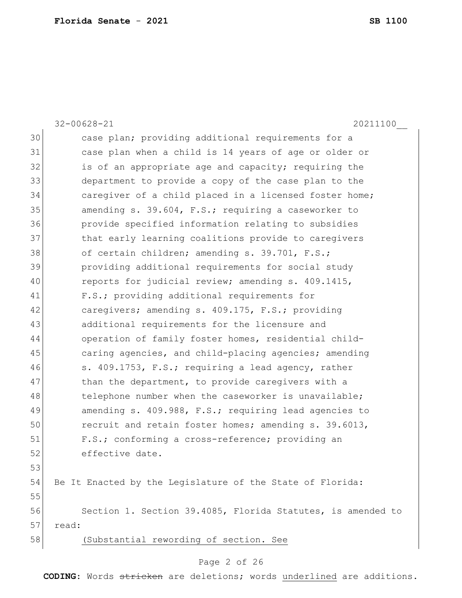32-00628-21 20211100\_\_ 30 case plan; providing additional requirements for a 31 case plan when a child is 14 years of age or older or 32 is of an appropriate age and capacity; requiring the 33 department to provide a copy of the case plan to the 34 caregiver of a child placed in a licensed foster home; 35 amending s. 39.604, F.S.; requiring a caseworker to 36 provide specified information relating to subsidies 37 bhat early learning coalitions provide to caregivers 38 of certain children; amending s. 39.701, F.S.; 39 providing additional requirements for social study 40 reports for judicial review; amending s. 409.1415, 41 F.S.; providing additional requirements for 42 **caregivers; amending s. 409.175, F.S.; providing** 43 additional requirements for the licensure and 44 operation of family foster homes, residential child-45 caring agencies, and child-placing agencies; amending 46 s. 409.1753, F.S.; requiring a lead agency, rather 47 than the department, to provide caregivers with a 48 telephone number when the caseworker is unavailable; 49 amending s. 409.988, F.S.; requiring lead agencies to 50 recruit and retain foster homes; amending s. 39.6013, 51 F.S.; conforming a cross-reference; providing an 52 effective date. 53 54 Be It Enacted by the Legislature of the State of Florida: 55 56 Section 1. Section 39.4085, Florida Statutes, is amended to 57 read: 58 (Substantial rewording of section. See

#### Page 2 of 26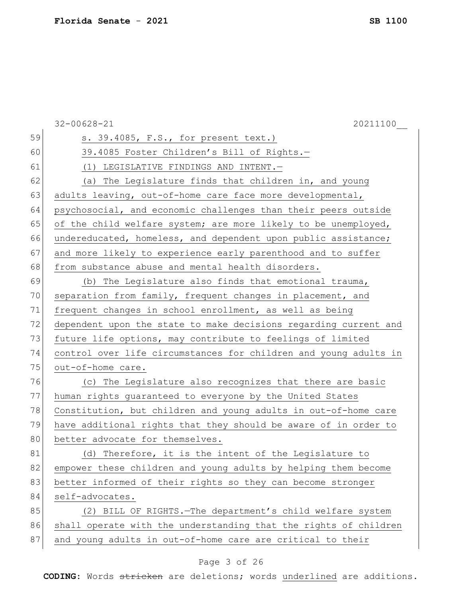|    | $32 - 00628 - 21$<br>20211100                                    |
|----|------------------------------------------------------------------|
| 59 | s. 39.4085, F.S., for present text.)                             |
| 60 | 39.4085 Foster Children's Bill of Rights.-                       |
| 61 | (1) LEGISLATIVE FINDINGS AND INTENT.-                            |
| 62 | (a) The Legislature finds that children in, and young            |
| 63 | adults leaving, out-of-home care face more developmental,        |
| 64 | psychosocial, and economic challenges than their peers outside   |
| 65 | of the child welfare system; are more likely to be unemployed,   |
| 66 | undereducated, homeless, and dependent upon public assistance;   |
| 67 | and more likely to experience early parenthood and to suffer     |
| 68 | from substance abuse and mental health disorders.                |
| 69 | (b) The Legislature also finds that emotional trauma,            |
| 70 | separation from family, frequent changes in placement, and       |
| 71 | frequent changes in school enrollment, as well as being          |
| 72 | dependent upon the state to make decisions regarding current and |
| 73 | future life options, may contribute to feelings of limited       |
| 74 | control over life circumstances for children and young adults in |
| 75 | out-of-home care.                                                |
| 76 | (c) The Legislature also recognizes that there are basic         |
| 77 | human rights guaranteed to everyone by the United States         |
| 78 | Constitution, but children and young adults in out-of-home care  |
| 79 | have additional rights that they should be aware of in order to  |
| 80 | better advocate for themselves.                                  |
| 81 | Therefore, it is the intent of the Legislature to<br>(d)         |
| 82 | empower these children and young adults by helping them become   |
| 83 | better informed of their rights so they can become stronger      |
| 84 | self-advocates.                                                  |
| 85 | (2) BILL OF RIGHTS. The department's child welfare system        |
| 86 | shall operate with the understanding that the rights of children |
| 87 | and young adults in out-of-home care are critical to their       |

## Page 3 of 26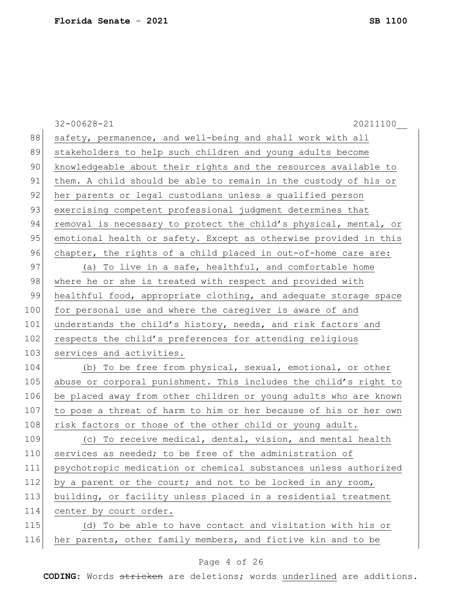|     | $32 - 00628 - 21$<br>20211100                                    |
|-----|------------------------------------------------------------------|
| 88  | safety, permanence, and well-being and shall work with all       |
| 89  | stakeholders to help such children and young adults become       |
| 90  | knowledgeable about their rights and the resources available to  |
| 91  | them. A child should be able to remain in the custody of his or  |
| 92  | her parents or legal custodians unless a qualified person        |
| 93  | exercising competent professional judgment determines that       |
| 94  | removal is necessary to protect the child's physical, mental, or |
| 95  | emotional health or safety. Except as otherwise provided in this |
| 96  | chapter, the rights of a child placed in out-of-home care are:   |
| 97  | (a) To live in a safe, healthful, and comfortable home           |
| 98  | where he or she is treated with respect and provided with        |
| 99  | healthful food, appropriate clothing, and adequate storage space |
| 100 | for personal use and where the caregiver is aware of and         |
| 101 | understands the child's history, needs, and risk factors and     |
| 102 | respects the child's preferences for attending religious         |
| 103 | services and activities.                                         |
| 104 | (b) To be free from physical, sexual, emotional, or other        |
| 105 | abuse or corporal punishment. This includes the child's right to |
| 106 | be placed away from other children or young adults who are known |
| 107 | to pose a threat of harm to him or her because of his or her own |
| 108 | risk factors or those of the other child or young adult.         |
| 109 | (c) To receive medical, dental, vision, and mental health        |
| 110 | services as needed; to be free of the administration of          |
| 111 | psychotropic medication or chemical substances unless authorized |
| 112 | by a parent or the court; and not to be locked in any room,      |
| 113 | building, or facility unless placed in a residential treatment   |
| 114 | center by court order.                                           |
| 115 | (d) To be able to have contact and visitation with his or        |
| 116 | her parents, other family members, and fictive kin and to be     |
|     |                                                                  |

## Page 4 of 26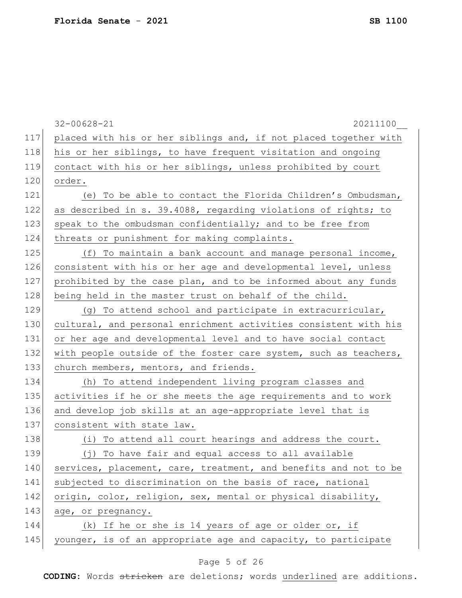|     | $32 - 00628 - 21$<br>20211100                                    |
|-----|------------------------------------------------------------------|
| 117 | placed with his or her siblings and, if not placed together with |
| 118 | his or her siblings, to have frequent visitation and ongoing     |
| 119 | contact with his or her siblings, unless prohibited by court     |
| 120 | order.                                                           |
| 121 | (e) To be able to contact the Florida Children's Ombudsman,      |
| 122 | as described in s. 39.4088, regarding violations of rights; to   |
| 123 | speak to the ombudsman confidentially; and to be free from       |
| 124 | threats or punishment for making complaints.                     |
| 125 | (f) To maintain a bank account and manage personal income,       |
| 126 | consistent with his or her age and developmental level, unless   |
| 127 | prohibited by the case plan, and to be informed about any funds  |
| 128 | being held in the master trust on behalf of the child.           |
| 129 | (g) To attend school and participate in extracurricular,         |
| 130 | cultural, and personal enrichment activities consistent with his |
| 131 | or her age and developmental level and to have social contact    |
| 132 | with people outside of the foster care system, such as teachers, |
| 133 | church members, mentors, and friends.                            |
| 134 | (h) To attend independent living program classes and             |
| 135 | activities if he or she meets the age requirements and to work   |
| 136 | and develop job skills at an age-appropriate level that is       |
| 137 | consistent with state law.                                       |
| 138 | (i) To attend all court hearings and address the court.          |
| 139 | (j) To have fair and equal access to all available               |
| 140 | services, placement, care, treatment, and benefits and not to be |
| 141 | subjected to discrimination on the basis of race, national       |
| 142 | origin, color, religion, sex, mental or physical disability,     |
| 143 | age, or pregnancy.                                               |
| 144 | (k) If he or she is 14 years of age or older or, if              |
| 145 | younger, is of an appropriate age and capacity, to participate   |

## Page 5 of 26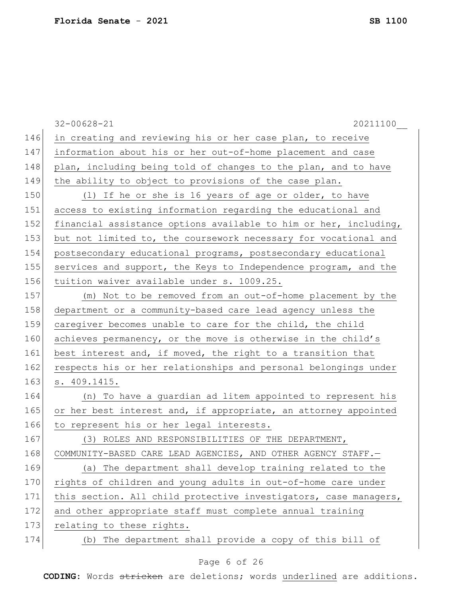|     | $32 - 00628 - 21$<br>20211100                                    |
|-----|------------------------------------------------------------------|
| 146 | in creating and reviewing his or her case plan, to receive       |
| 147 | information about his or her out-of-home placement and case      |
| 148 | plan, including being told of changes to the plan, and to have   |
| 149 | the ability to object to provisions of the case plan.            |
| 150 | (1) If he or she is 16 years of age or older, to have            |
| 151 | access to existing information regarding the educational and     |
| 152 | financial assistance options available to him or her, including, |
| 153 | but not limited to, the coursework necessary for vocational and  |
| 154 | postsecondary educational programs, postsecondary educational    |
| 155 | services and support, the Keys to Independence program, and the  |
| 156 | tuition waiver available under s. 1009.25.                       |
| 157 | (m) Not to be removed from an out-of-home placement by the       |
| 158 | department or a community-based care lead agency unless the      |
| 159 | caregiver becomes unable to care for the child, the child        |
| 160 | achieves permanency, or the move is otherwise in the child's     |
| 161 | best interest and, if moved, the right to a transition that      |
| 162 | respects his or her relationships and personal belongings under  |
| 163 | s. 409.1415.                                                     |
| 164 | (n) To have a guardian ad litem appointed to represent his       |
| 165 | or her best interest and, if appropriate, an attorney appointed  |
| 166 | to represent his or her legal interests.                         |
| 167 | (3) ROLES AND RESPONSIBILITIES OF THE DEPARTMENT,                |
| 168 | COMMUNITY-BASED CARE LEAD AGENCIES, AND OTHER AGENCY STAFF.-     |
| 169 | (a) The department shall develop training related to the         |
| 170 | rights of children and young adults in out-of-home care under    |
| 171 | this section. All child protective investigators, case managers, |
| 172 | and other appropriate staff must complete annual training        |
| 173 | relating to these rights.                                        |
| 174 | The department shall provide a copy of this bill of<br>(b)       |

## Page 6 of 26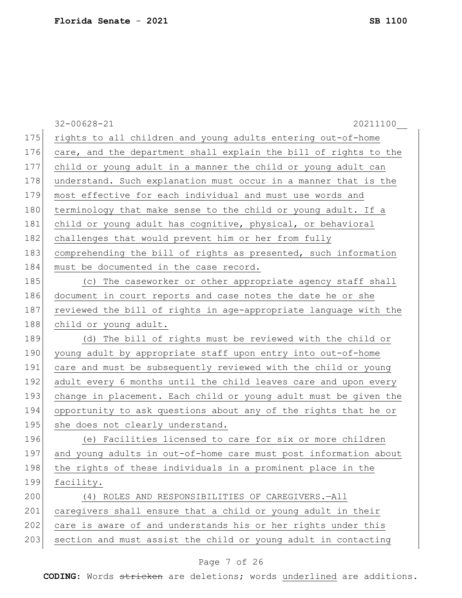|     | $32 - 00628 - 21$<br>20211100                                    |
|-----|------------------------------------------------------------------|
| 175 | rights to all children and young adults entering out-of-home     |
| 176 | care, and the department shall explain the bill of rights to the |
| 177 | child or young adult in a manner the child or young adult can    |
| 178 | understand. Such explanation must occur in a manner that is the  |
| 179 | most effective for each individual and must use words and        |
| 180 | terminology that make sense to the child or young adult. If a    |
| 181 | child or young adult has cognitive, physical, or behavioral      |
| 182 | challenges that would prevent him or her from fully              |
| 183 | comprehending the bill of rights as presented, such information  |
| 184 | must be documented in the case record.                           |
| 185 | (c) The caseworker or other appropriate agency staff shall       |
| 186 | document in court reports and case notes the date he or she      |
| 187 | reviewed the bill of rights in age-appropriate language with the |
| 188 | child or young adult.                                            |
| 189 | (d) The bill of rights must be reviewed with the child or        |
| 190 | young adult by appropriate staff upon entry into out-of-home     |
| 191 | care and must be subsequently reviewed with the child or young   |
| 192 | adult every 6 months until the child leaves care and upon every  |
| 193 | change in placement. Each child or young adult must be given the |
| 194 | opportunity to ask questions about any of the rights that he or  |
| 195 | she does not clearly understand.                                 |
| 196 | (e) Facilities licensed to care for six or more children         |
| 197 | and young adults in out-of-home care must post information about |
| 198 | the rights of these individuals in a prominent place in the      |
| 199 | facility.                                                        |
| 200 | (4) ROLES AND RESPONSIBILITIES OF CAREGIVERS. - All              |
| 201 | caregivers shall ensure that a child or young adult in their     |
| 202 | care is aware of and understands his or her rights under this    |
| 203 | section and must assist the child or young adult in contacting   |
|     |                                                                  |

## Page 7 of 26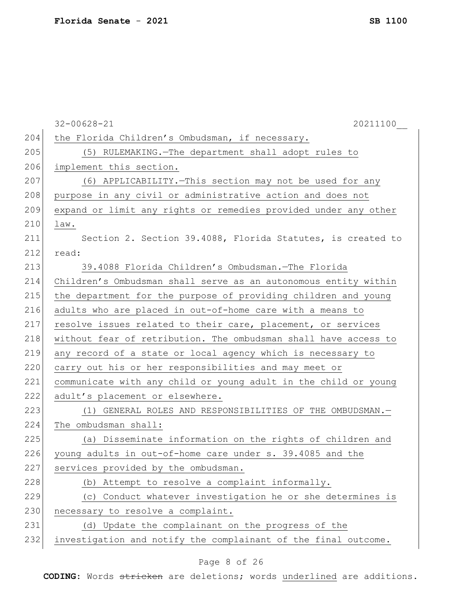|     | $32 - 00628 - 21$<br>20211100                                   |
|-----|-----------------------------------------------------------------|
| 204 | the Florida Children's Ombudsman, if necessary.                 |
| 205 | (5) RULEMAKING. - The department shall adopt rules to           |
| 206 | implement this section.                                         |
| 207 | (6) APPLICABILITY. - This section may not be used for any       |
| 208 | purpose in any civil or administrative action and does not      |
| 209 | expand or limit any rights or remedies provided under any other |
| 210 | law.                                                            |
| 211 | Section 2. Section 39.4088, Florida Statutes, is created to     |
| 212 | read:                                                           |
| 213 | 39.4088 Florida Children's Ombudsman. - The Florida             |
| 214 | Children's Ombudsman shall serve as an autonomous entity within |
| 215 | the department for the purpose of providing children and young  |
| 216 | adults who are placed in out-of-home care with a means to       |
| 217 | resolve issues related to their care, placement, or services    |
| 218 | without fear of retribution. The ombudsman shall have access to |
| 219 | any record of a state or local agency which is necessary to     |
| 220 | carry out his or her responsibilities and may meet or           |
| 221 | communicate with any child or young adult in the child or young |
| 222 | adult's placement or elsewhere.                                 |
| 223 | (1) GENERAL ROLES AND RESPONSIBILITIES OF THE OMBUDSMAN.-       |
| 224 | The ombudsman shall:                                            |
| 225 | (a) Disseminate information on the rights of children and       |
| 226 | young adults in out-of-home care under s. 39.4085 and the       |
| 227 | services provided by the ombudsman.                             |
| 228 | (b) Attempt to resolve a complaint informally.                  |
| 229 | (c) Conduct whatever investigation he or she determines is      |
| 230 | necessary to resolve a complaint.                               |
| 231 | (d) Update the complainant on the progress of the               |
| 232 | investigation and notify the complainant of the final outcome.  |

## Page 8 of 26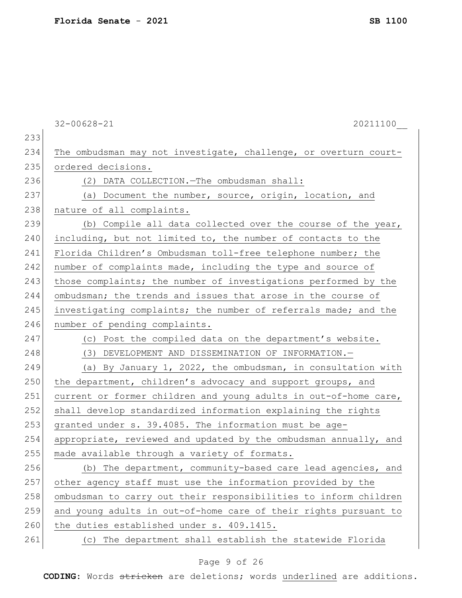|     | $32 - 00628 - 21$<br>20211100                                    |
|-----|------------------------------------------------------------------|
| 233 |                                                                  |
| 234 | The ombudsman may not investigate, challenge, or overturn court- |
| 235 | ordered decisions.                                               |
| 236 | (2) DATA COLLECTION. - The ombudsman shall:                      |
| 237 | (a) Document the number, source, origin, location, and           |
| 238 | nature of all complaints.                                        |
| 239 | (b) Compile all data collected over the course of the year,      |
| 240 | including, but not limited to, the number of contacts to the     |
| 241 | Florida Children's Ombudsman toll-free telephone number; the     |
| 242 | number of complaints made, including the type and source of      |
| 243 | those complaints; the number of investigations performed by the  |
| 244 | ombudsman; the trends and issues that arose in the course of     |
| 245 | investigating complaints; the number of referrals made; and the  |
| 246 | number of pending complaints.                                    |
| 247 | (c) Post the compiled data on the department's website.          |
| 248 | (3) DEVELOPMENT AND DISSEMINATION OF INFORMATION.-               |
| 249 | (a) By January 1, 2022, the ombudsman, in consultation with      |
| 250 | the department, children's advocacy and support groups, and      |
| 251 | current or former children and young adults in out-of-home care, |
| 252 | shall develop standardized information explaining the rights     |
| 253 | granted under s. 39.4085. The information must be age-           |
| 254 | appropriate, reviewed and updated by the ombudsman annually, and |
| 255 | made available through a variety of formats.                     |
| 256 | (b) The department, community-based care lead agencies, and      |
| 257 | other agency staff must use the information provided by the      |
| 258 | ombudsman to carry out their responsibilities to inform children |
| 259 | and young adults in out-of-home care of their rights pursuant to |
| 260 | the duties established under s. 409.1415.                        |
| 261 | The department shall establish the statewide Florida<br>(C)      |

## Page 9 of 26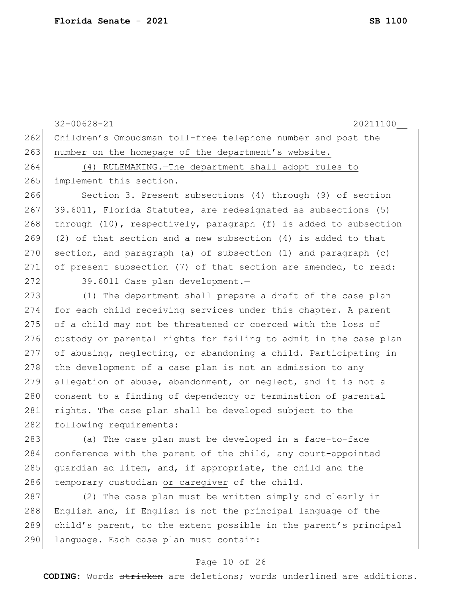|     | $32 - 00628 - 21$<br>20211100                                    |
|-----|------------------------------------------------------------------|
| 262 | Children's Ombudsman toll-free telephone number and post the     |
| 263 | number on the homepage of the department's website.              |
| 264 | (4) RULEMAKING. - The department shall adopt rules to            |
| 265 | implement this section.                                          |
| 266 | Section 3. Present subsections (4) through (9) of section        |
| 267 | 39.6011, Florida Statutes, are redesignated as subsections (5)   |
| 268 | through (10), respectively, paragraph (f) is added to subsection |
| 269 | (2) of that section and a new subsection $(4)$ is added to that  |
| 270 | section, and paragraph (a) of subsection (1) and paragraph (c)   |
| 271 | of present subsection (7) of that section are amended, to read:  |
| 272 | 39.6011 Case plan development.-                                  |
| 273 | (1) The department shall prepare a draft of the case plan        |
| 274 | for each child receiving services under this chapter. A parent   |
| 275 | of a child may not be threatened or coerced with the loss of     |
| 276 | custody or parental rights for failing to admit in the case plan |
| 277 | of abusing, neglecting, or abandoning a child. Participating in  |
| 278 | the development of a case plan is not an admission to any        |
| 279 | allegation of abuse, abandonment, or neglect, and it is not a    |
| 280 | consent to a finding of dependency or termination of parental    |
| 281 | rights. The case plan shall be developed subject to the          |
| 282 | following requirements:                                          |
| 283 | (a) The case plan must be developed in a face-to-face            |
| 284 | conference with the parent of the child, any court-appointed     |
| 285 | quardian ad litem, and, if appropriate, the child and the        |
| 286 | temporary custodian or caregiver of the child.                   |
| 287 | (2) The case plan must be written simply and clearly in          |
| 288 | English and, if English is not the principal language of the     |
| 289 | child's parent, to the extent possible in the parent's principal |

#### Page 10 of 26

290 language. Each case plan must contain: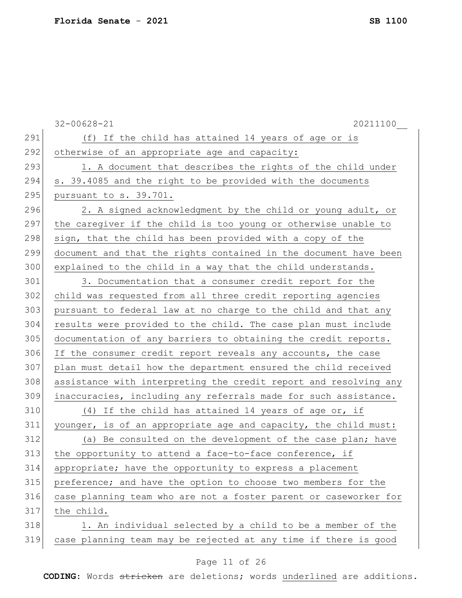|     | $32 - 00628 - 21$<br>20211100                                    |
|-----|------------------------------------------------------------------|
| 291 | (f) If the child has attained 14 years of age or is              |
| 292 | otherwise of an appropriate age and capacity:                    |
| 293 | 1. A document that describes the rights of the child under       |
| 294 | s. 39.4085 and the right to be provided with the documents       |
| 295 | pursuant to s. 39.701.                                           |
| 296 | 2. A signed acknowledgment by the child or young adult, or       |
| 297 | the caregiver if the child is too young or otherwise unable to   |
| 298 | sign, that the child has been provided with a copy of the        |
| 299 | document and that the rights contained in the document have been |
| 300 | explained to the child in a way that the child understands.      |
| 301 | 3. Documentation that a consumer credit report for the           |
| 302 | child was requested from all three credit reporting agencies     |
| 303 | pursuant to federal law at no charge to the child and that any   |
| 304 | results were provided to the child. The case plan must include   |
| 305 | documentation of any barriers to obtaining the credit reports.   |
| 306 | If the consumer credit report reveals any accounts, the case     |
| 307 | plan must detail how the department ensured the child received   |
| 308 | assistance with interpreting the credit report and resolving any |
| 309 | inaccuracies, including any referrals made for such assistance.  |
| 310 | (4) If the child has attained 14 years of age or, if             |
| 311 | younger, is of an appropriate age and capacity, the child must:  |
| 312 | (a) Be consulted on the development of the case plan; have       |
| 313 | the opportunity to attend a face-to-face conference, if          |
| 314 | appropriate; have the opportunity to express a placement         |
| 315 | preference; and have the option to choose two members for the    |
| 316 | case planning team who are not a foster parent or caseworker for |
| 317 | the child.                                                       |
| 318 | 1. An individual selected by a child to be a member of the       |
| 319 | case planning team may be rejected at any time if there is good  |
|     |                                                                  |

## Page 11 of 26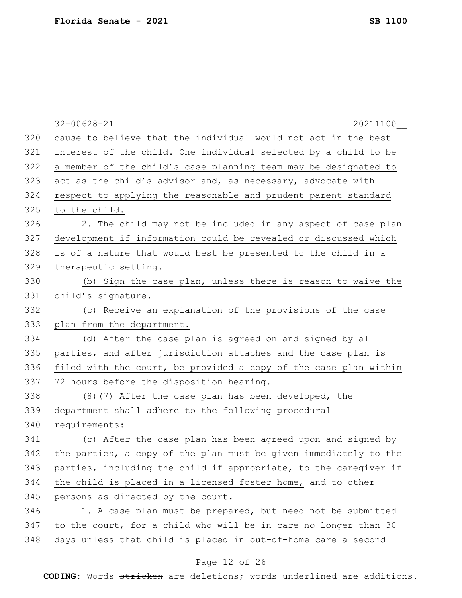|     | $32 - 00628 - 21$<br>20211100                                    |
|-----|------------------------------------------------------------------|
| 320 | cause to believe that the individual would not act in the best   |
| 321 | interest of the child. One individual selected by a child to be  |
| 322 | a member of the child's case planning team may be designated to  |
| 323 | act as the child's advisor and, as necessary, advocate with      |
| 324 | respect to applying the reasonable and prudent parent standard   |
| 325 | to the child.                                                    |
| 326 | 2. The child may not be included in any aspect of case plan      |
| 327 | development if information could be revealed or discussed which  |
| 328 | is of a nature that would best be presented to the child in a    |
| 329 | therapeutic setting.                                             |
| 330 | (b) Sign the case plan, unless there is reason to waive the      |
| 331 | child's signature.                                               |
| 332 | (c) Receive an explanation of the provisions of the case         |
| 333 | plan from the department.                                        |
| 334 | (d) After the case plan is agreed on and signed by all           |
| 335 | parties, and after jurisdiction attaches and the case plan is    |
| 336 | filed with the court, be provided a copy of the case plan within |
| 337 | 72 hours before the disposition hearing.                         |
| 338 | $(8)$ $(7)$ After the case plan has been developed, the          |
| 339 | department shall adhere to the following procedural              |
| 340 | requirements:                                                    |
| 341 | (c) After the case plan has been agreed upon and signed by       |
| 342 | the parties, a copy of the plan must be given immediately to the |
| 343 | parties, including the child if appropriate, to the caregiver if |
| 344 | the child is placed in a licensed foster home, and to other      |
| 345 | persons as directed by the court.                                |
| 346 | 1. A case plan must be prepared, but need not be submitted       |
| 347 | to the court, for a child who will be in care no longer than 30  |
| 348 | days unless that child is placed in out-of-home care a second    |
|     |                                                                  |

## Page 12 of 26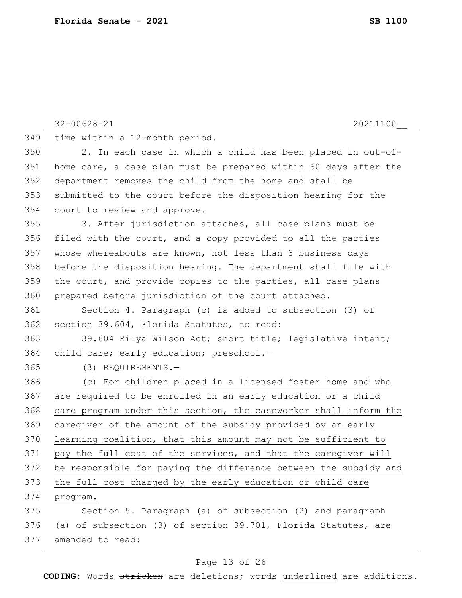|     | $32 - 00628 - 21$<br>20211100                                    |
|-----|------------------------------------------------------------------|
| 349 | time within a 12-month period.                                   |
| 350 | 2. In each case in which a child has been placed in out-of-      |
| 351 | home care, a case plan must be prepared within 60 days after the |
| 352 | department removes the child from the home and shall be          |
| 353 | submitted to the court before the disposition hearing for the    |
| 354 | court to review and approve.                                     |
| 355 | 3. After jurisdiction attaches, all case plans must be           |
| 356 | filed with the court, and a copy provided to all the parties     |
| 357 | whose whereabouts are known, not less than 3 business days       |
| 358 | before the disposition hearing. The department shall file with   |
| 359 | the court, and provide copies to the parties, all case plans     |
| 360 | prepared before jurisdiction of the court attached.              |
| 361 | Section 4. Paragraph (c) is added to subsection (3) of           |
| 362 | section 39.604, Florida Statutes, to read:                       |
| 363 | 39.604 Rilya Wilson Act; short title; legislative intent;        |
| 364 | child care; early education; preschool.-                         |
| 365 | $(3)$ REQUIREMENTS. -                                            |
| 366 | (c) For children placed in a licensed foster home and who        |
| 367 | are required to be enrolled in an early education or a child     |
| 368 | care program under this section, the caseworker shall inform the |
| 369 | caregiver of the amount of the subsidy provided by an early      |
| 370 | learning coalition, that this amount may not be sufficient to    |
| 371 | pay the full cost of the services, and that the caregiver will   |
| 372 | be responsible for paying the difference between the subsidy and |
| 373 | the full cost charged by the early education or child care       |
| 374 | program.                                                         |
| 375 | Section 5. Paragraph (a) of subsection (2) and paragraph         |
| 376 | (a) of subsection (3) of section 39.701, Florida Statutes, are   |
| 377 | amended to read:                                                 |

## Page 13 of 26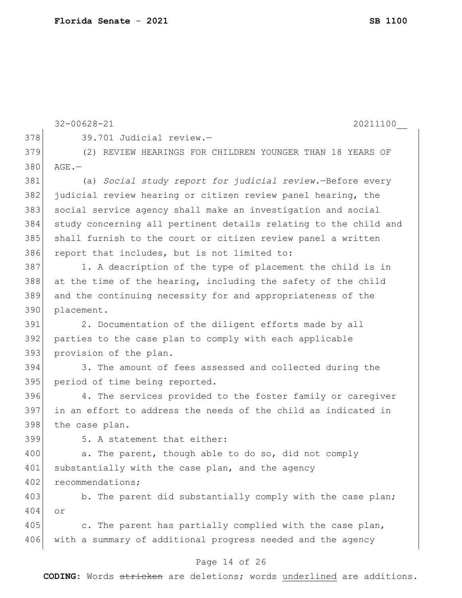|     | 20211100<br>$32 - 00628 - 21$                                    |
|-----|------------------------------------------------------------------|
| 378 | 39.701 Judicial review.-                                         |
| 379 | (2) REVIEW HEARINGS FOR CHILDREN YOUNGER THAN 18 YEARS OF        |
| 380 | $AGE$ . $-$                                                      |
| 381 | (a) Social study report for judicial review. - Before every      |
| 382 | judicial review hearing or citizen review panel hearing, the     |
| 383 | social service agency shall make an investigation and social     |
| 384 | study concerning all pertinent details relating to the child and |
| 385 | shall furnish to the court or citizen review panel a written     |
| 386 | report that includes, but is not limited to:                     |
| 387 | 1. A description of the type of placement the child is in        |
| 388 | at the time of the hearing, including the safety of the child    |
| 389 | and the continuing necessity for and appropriateness of the      |
| 390 | placement.                                                       |
| 391 | 2. Documentation of the diligent efforts made by all             |
| 392 | parties to the case plan to comply with each applicable          |
| 393 | provision of the plan.                                           |
| 394 | 3. The amount of fees assessed and collected during the          |
| 395 | period of time being reported.                                   |
| 396 | 4. The services provided to the foster family or caregiver       |
| 397 | in an effort to address the needs of the child as indicated in   |
| 398 | the case plan.                                                   |
| 399 | 5. A statement that either:                                      |
| 400 | a. The parent, though able to do so, did not comply              |
| 401 | substantially with the case plan, and the agency                 |
| 402 | recommendations;                                                 |
| 403 | b. The parent did substantially comply with the case plan;       |
| 404 | or                                                               |
| 405 | c. The parent has partially complied with the case plan,         |
| 406 | with a summary of additional progress needed and the agency      |
|     | Page 14 of 26                                                    |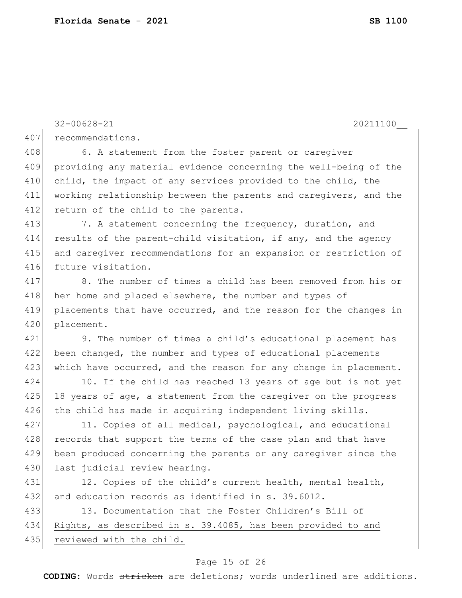407 recommendations.

```
Page 15 of 26
   CODING: Words stricken are deletions; words underlined are additions.
409 providing any material evidence concerning the well-being of the 
410 child, the impact of any services provided to the child, the
411 working relationship between the parents and caregivers, and the 
412 return of the child to the parents.
413 7. A statement concerning the frequency, duration, and
414 results of the parent-child visitation, if any, and the agency
415 and caregiver recommendations for an expansion or restriction of 
416 future visitation.
417 8. The number of times a child has been removed from his or 
418 her home and placed elsewhere, the number and types of
419 placements that have occurred, and the reason for the changes in 
420 placement.
421 9. The number of times a child's educational placement has 
422 been changed, the number and types of educational placements
423 which have occurred, and the reason for any change in placement.
424 10. If the child has reached 13 years of age but is not yet
425 18 years of age, a statement from the caregiver on the progress
426 the child has made in acquiring independent living skills.
427 11. Copies of all medical, psychological, and educational
428 records that support the terms of the case plan and that have
429 been produced concerning the parents or any caregiver since the
430 last judicial review hearing.
431 12. Copies of the child's current health, mental health,
432 and education records as identified in s. 39.6012.
433 13. Documentation that the Foster Children's Bill of
434 Rights, as described in s. 39.4085, has been provided to and 
435 reviewed with the child.
```
32-00628-21 20211100\_\_

408 6. A statement from the foster parent or caregiver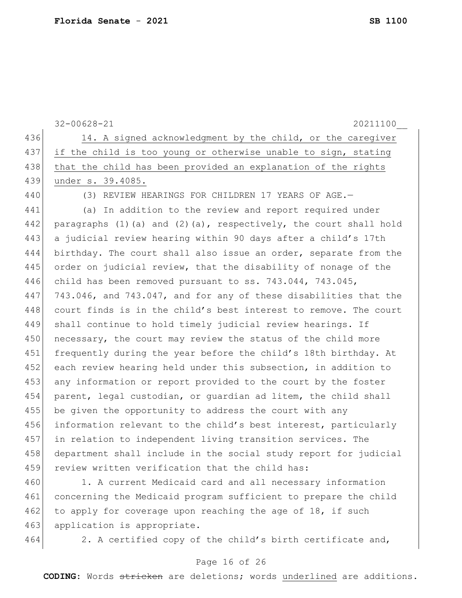|     | $32 - 00628 - 21$<br>20211100                                          |
|-----|------------------------------------------------------------------------|
| 436 | 14. A signed acknowledgment by the child, or the caregiver             |
| 437 | if the child is too young or otherwise unable to sign, stating         |
| 438 | that the child has been provided an explanation of the rights          |
| 439 | under s. 39.4085.                                                      |
| 440 | (3) REVIEW HEARINGS FOR CHILDREN 17 YEARS OF AGE.-                     |
| 441 | (a) In addition to the review and report required under                |
| 442 | paragraphs $(1)$ (a) and $(2)$ (a), respectively, the court shall hold |
| 443 | a judicial review hearing within 90 days after a child's 17th          |
| 444 | birthday. The court shall also issue an order, separate from the       |
| 445 | order on judicial review, that the disability of nonage of the         |
| 446 | child has been removed pursuant to ss. $743.044$ , $743.045$ ,         |
| 447 | 743.046, and 743.047, and for any of these disabilities that the       |
| 448 | court finds is in the child's best interest to remove. The court       |
| 449 | shall continue to hold timely judicial review hearings. If             |
| 450 | necessary, the court may review the status of the child more           |
| 451 | frequently during the year before the child's 18th birthday. At        |
| 452 | each review hearing held under this subsection, in addition to         |
| 453 | any information or report provided to the court by the foster          |
| 454 | parent, legal custodian, or quardian ad litem, the child shall         |
| 455 | be given the opportunity to address the court with any                 |
| 456 | information relevant to the child's best interest, particularly        |
| 457 | in relation to independent living transition services. The             |
| 458 | department shall include in the social study report for judicial       |
| 459 | review written verification that the child has:                        |
| 460 | 1. A current Medicaid card and all necessary information               |
| 461 | concerning the Medicaid program sufficient to prepare the child        |

463 application is appropriate.

462 to apply for coverage upon reaching the age of 18, if such

464 2. A certified copy of the child's birth certificate and,

#### Page 16 of 26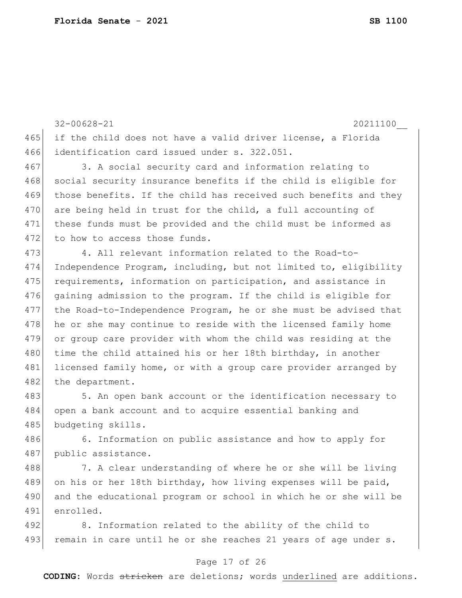32-00628-21 20211100\_\_ 465 if the child does not have a valid driver license, a Florida 466 identification card issued under s. 322.051.

467 3. A social security card and information relating to 468 social security insurance benefits if the child is eligible for 469 those benefits. If the child has received such benefits and they 470 are being held in trust for the child, a full accounting of 471 these funds must be provided and the child must be informed as 472 to how to access those funds.

473 4. All relevant information related to the Road-to-474 Independence Program, including, but not limited to, eligibility 475 requirements, information on participation, and assistance in 476 gaining admission to the program. If the child is eligible for 477 the Road-to-Independence Program, he or she must be advised that 478 he or she may continue to reside with the licensed family home 479 or group care provider with whom the child was residing at the 480 time the child attained his or her 18th birthday, in another 481 licensed family home, or with a group care provider arranged by 482 the department.

483 5. An open bank account or the identification necessary to 484 open a bank account and to acquire essential banking and 485 budgeting skills.

486 6. Information on public assistance and how to apply for 487 public assistance.

488 7. A clear understanding of where he or she will be living 489 on his or her 18th birthday, how living expenses will be paid, 490 and the educational program or school in which he or she will be 491 enrolled.

492 8. Information related to the ability of the child to 493 remain in care until he or she reaches 21 years of age under s.

#### Page 17 of 26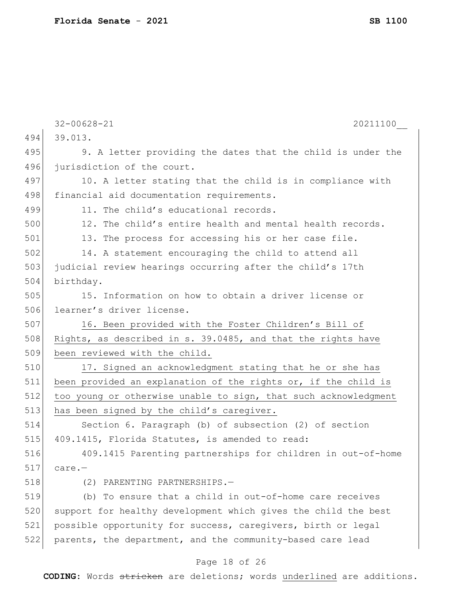|     | $32 - 00628 - 21$<br>20211100                                   |
|-----|-----------------------------------------------------------------|
| 494 | 39.013.                                                         |
| 495 | 9. A letter providing the dates that the child is under the     |
| 496 | jurisdiction of the court.                                      |
| 497 | 10. A letter stating that the child is in compliance with       |
| 498 | financial aid documentation requirements.                       |
| 499 | 11. The child's educational records.                            |
| 500 | 12. The child's entire health and mental health records.        |
| 501 | 13. The process for accessing his or her case file.             |
| 502 | 14. A statement encouraging the child to attend all             |
| 503 | judicial review hearings occurring after the child's 17th       |
| 504 | birthday.                                                       |
| 505 | 15. Information on how to obtain a driver license or            |
| 506 | learner's driver license.                                       |
| 507 | 16. Been provided with the Foster Children's Bill of            |
| 508 | Rights, as described in s. 39.0485, and that the rights have    |
| 509 | been reviewed with the child.                                   |
| 510 | 17. Signed an acknowledgment stating that he or she has         |
| 511 | been provided an explanation of the rights or, if the child is  |
| 512 | too young or otherwise unable to sign, that such acknowledgment |
| 513 | has been signed by the child's caregiver.                       |
| 514 | Section 6. Paragraph (b) of subsection (2) of section           |
| 515 | 409.1415, Florida Statutes, is amended to read:                 |
| 516 | 409.1415 Parenting partnerships for children in out-of-home     |
| 517 | $care. -$                                                       |
| 518 | PARENTING PARTNERSHIPS.-<br>(2)                                 |
| 519 | (b) To ensure that a child in out-of-home care receives         |
| 520 | support for healthy development which gives the child the best  |
| 521 | possible opportunity for success, caregivers, birth or legal    |
| 522 | parents, the department, and the community-based care lead      |
|     |                                                                 |

## Page 18 of 26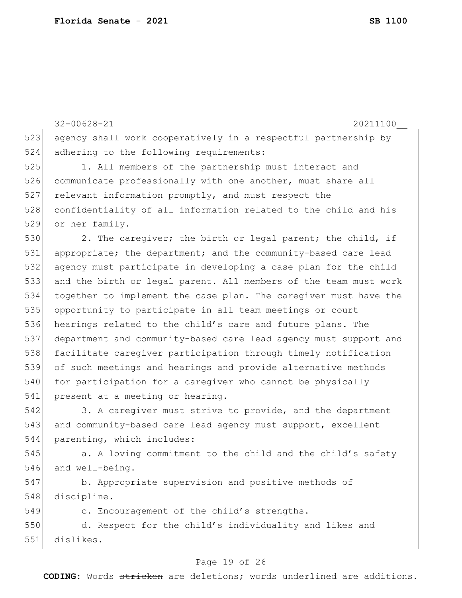523 agency shall work cooperatively in a respectful partnership by 524 adhering to the following requirements: 525 1. All members of the partnership must interact and 526 communicate professionally with one another, must share all 527 relevant information promptly, and must respect the 528 confidentiality of all information related to the child and his 529 or her family. 530 2. The caregiver; the birth or legal parent; the child, if 531 appropriate; the department; and the community-based care lead 532 agency must participate in developing a case plan for the child 533 and the birth or legal parent. All members of the team must work 534 together to implement the case plan. The caregiver must have the 535 opportunity to participate in all team meetings or court 536 hearings related to the child's care and future plans. The 537 department and community-based care lead agency must support and 538 facilitate caregiver participation through timely notification 539 of such meetings and hearings and provide alternative methods 540 for participation for a caregiver who cannot be physically 541 present at a meeting or hearing. 542 3. A caregiver must strive to provide, and the department 543 and community-based care lead agency must support, excellent 544 parenting, which includes: 545 **b.** A loving commitment to the child and the child's safety 546 and well-being. 547 b. Appropriate supervision and positive methods of 548 discipline. 549 c. Encouragement of the child's strengths. 550 d. Respect for the child's individuality and likes and 551 dislikes.

32-00628-21 20211100\_\_

#### Page 19 of 26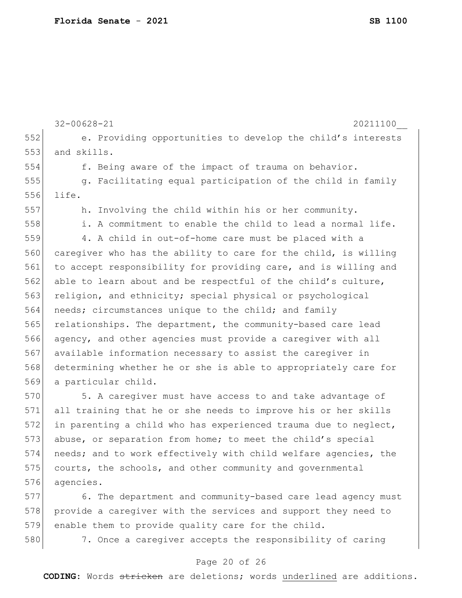|     | $32 - 00628 - 21$<br>20211100                                   |
|-----|-----------------------------------------------------------------|
| 552 | e. Providing opportunities to develop the child's interests     |
| 553 | and skills.                                                     |
| 554 | f. Being aware of the impact of trauma on behavior.             |
| 555 | g. Facilitating equal participation of the child in family      |
| 556 | life.                                                           |
| 557 | h. Involving the child within his or her community.             |
| 558 | i. A commitment to enable the child to lead a normal life.      |
| 559 | 4. A child in out-of-home care must be placed with a            |
| 560 | caregiver who has the ability to care for the child, is willing |
| 561 | to accept responsibility for providing care, and is willing and |
| 562 | able to learn about and be respectful of the child's culture,   |
| 563 | religion, and ethnicity; special physical or psychological      |
| 564 | needs; circumstances unique to the child; and family            |
| 565 | relationships. The department, the community-based care lead    |
| 566 | agency, and other agencies must provide a caregiver with all    |
| 567 | available information necessary to assist the caregiver in      |
| 568 | determining whether he or she is able to appropriately care for |
| 569 | a particular child.                                             |
| 570 | 5. A caregiver must have access to and take advantage of        |
| 571 | all training that he or she needs to improve his or her skills  |
| 572 | in parenting a child who has experienced trauma due to neglect, |
| 573 | abuse, or separation from home; to meet the child's special     |
| 574 | needs; and to work effectively with child welfare agencies, the |
| 575 | courts, the schools, and other community and governmental       |
| 576 | agencies.                                                       |
| 577 | 6. The department and community-based care lead agency must     |
| 578 | provide a caregiver with the services and support they need to  |
| 579 | enable them to provide quality care for the child.              |

580 7. Once a caregiver accepts the responsibility of caring

# Page 20 of 26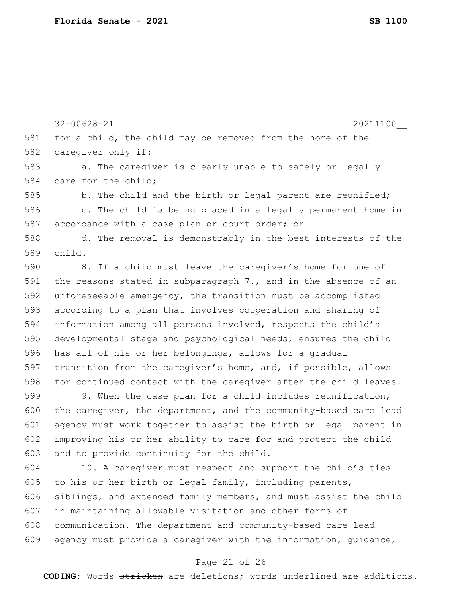581 for a child, the child may be removed from the home of the 582 caregiver only if: 583 a. The caregiver is clearly unable to safely or legally 584 care for the child; 585 b. The child and the birth or legal parent are reunified; 586 c. The child is being placed in a legally permanent home in 587 accordance with a case plan or court order; or 588 d. The removal is demonstrably in the best interests of the 589 child. 590 8. If a child must leave the caregiver's home for one of 591 the reasons stated in subparagraph 7., and in the absence of an 592 unforeseeable emergency, the transition must be accomplished 593 according to a plan that involves cooperation and sharing of 594 information among all persons involved, respects the child's 595 developmental stage and psychological needs, ensures the child 596 has all of his or her belongings, allows for a gradual 597 transition from the caregiver's home, and, if possible, allows 598 for continued contact with the caregiver after the child leaves. 599 9. When the case plan for a child includes reunification, 600 the caregiver, the department, and the community-based care lead 601 agency must work together to assist the birth or legal parent in 602 improving his or her ability to care for and protect the child 603 and to provide continuity for the child. 604 10. A caregiver must respect and support the child's ties 605 to his or her birth or legal family, including parents, 606 siblings, and extended family members, and must assist the child 607 in maintaining allowable visitation and other forms of 608 communication. The department and community-based care lead 609 agency must provide a caregiver with the information, quidance,

32-00628-21 20211100\_\_

#### Page 21 of 26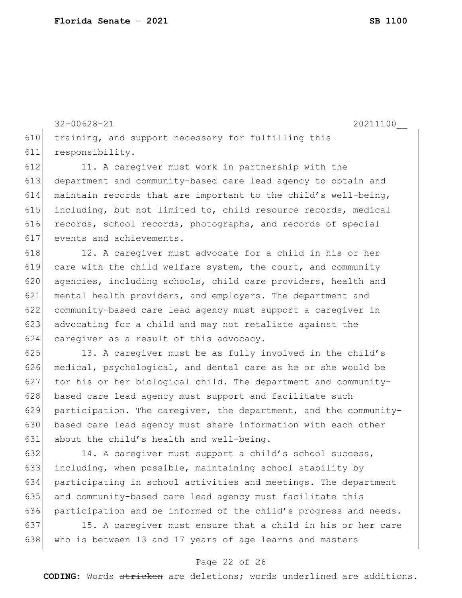32-00628-21 20211100\_\_

610 training, and support necessary for fulfilling this 611 responsibility.

612 11. A caregiver must work in partnership with the 613 department and community-based care lead agency to obtain and 614 maintain records that are important to the child's well-being, 615 including, but not limited to, child resource records, medical 616 records, school records, photographs, and records of special 617 events and achievements.

618 12. A caregiver must advocate for a child in his or her 619 care with the child welfare system, the court, and community 620 agencies, including schools, child care providers, health and 621 mental health providers, and employers. The department and 622 community-based care lead agency must support a caregiver in 623 advocating for a child and may not retaliate against the 624 caregiver as a result of this advocacy.

625 13. A caregiver must be as fully involved in the child's 626 medical, psychological, and dental care as he or she would be 627 for his or her biological child. The department and community-628 based care lead agency must support and facilitate such 629 participation. The caregiver, the department, and the community-630 based care lead agency must share information with each other 631 about the child's health and well-being.

632 14. A caregiver must support a child's school success, 633 including, when possible, maintaining school stability by 634 participating in school activities and meetings. The department 635 and community-based care lead agency must facilitate this 636 participation and be informed of the child's progress and needs.

637 15. A caregiver must ensure that a child in his or her care 638 who is between 13 and 17 years of age learns and masters

#### Page 22 of 26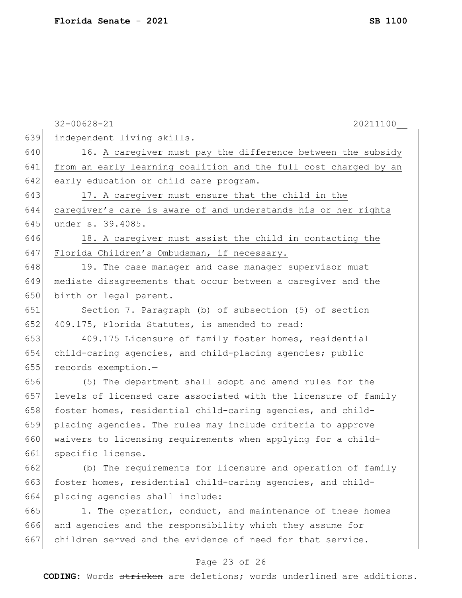|     | $32 - 00628 - 21$<br>20211100                                    |
|-----|------------------------------------------------------------------|
| 639 | independent living skills.                                       |
| 640 | 16. A caregiver must pay the difference between the subsidy      |
| 641 | from an early learning coalition and the full cost charged by an |
| 642 | early education or child care program.                           |
| 643 | 17. A caregiver must ensure that the child in the                |
| 644 | caregiver's care is aware of and understands his or her rights   |
| 645 | under s. 39.4085.                                                |
| 646 | 18. A caregiver must assist the child in contacting the          |
| 647 | Florida Children's Ombudsman, if necessary.                      |
| 648 | 19. The case manager and case manager supervisor must            |
| 649 | mediate disagreements that occur between a caregiver and the     |
| 650 | birth or legal parent.                                           |
| 651 | Section 7. Paragraph (b) of subsection (5) of section            |
| 652 | 409.175, Florida Statutes, is amended to read:                   |
| 653 | 409.175 Licensure of family foster homes, residential            |
| 654 | child-caring agencies, and child-placing agencies; public        |
| 655 | records exemption.-                                              |
| 656 | (5) The department shall adopt and amend rules for the           |
| 657 | levels of licensed care associated with the licensure of family  |
| 658 | foster homes, residential child-caring agencies, and child-      |
| 659 | placing agencies. The rules may include criteria to approve      |
| 660 | waivers to licensing requirements when applying for a child-     |
| 661 | specific license.                                                |
| 662 | (b) The requirements for licensure and operation of family       |
| 663 | foster homes, residential child-caring agencies, and child-      |
| 664 | placing agencies shall include:                                  |
| 665 | 1. The operation, conduct, and maintenance of these homes        |
| 666 | and agencies and the responsibility which they assume for        |
| 667 | children served and the evidence of need for that service.       |
|     | Page 23 of 26                                                    |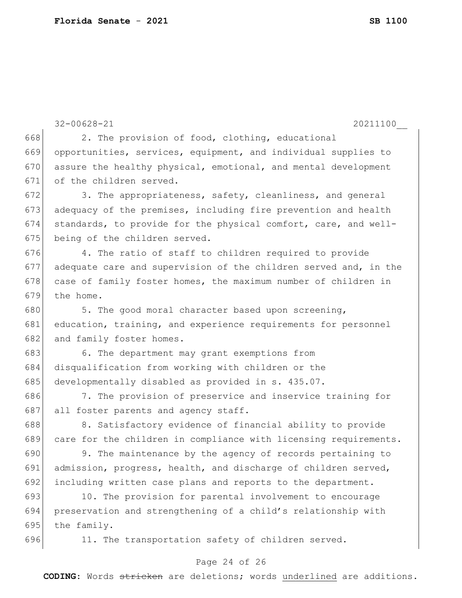|     | $32 - 00628 - 21$<br>20211100                                    |
|-----|------------------------------------------------------------------|
| 668 | 2. The provision of food, clothing, educational                  |
| 669 | opportunities, services, equipment, and individual supplies to   |
| 670 | assure the healthy physical, emotional, and mental development   |
| 671 | of the children served.                                          |
| 672 | 3. The appropriateness, safety, cleanliness, and general         |
| 673 | adequacy of the premises, including fire prevention and health   |
| 674 | standards, to provide for the physical comfort, care, and well-  |
| 675 | being of the children served.                                    |
| 676 | 4. The ratio of staff to children required to provide            |
| 677 | adequate care and supervision of the children served and, in the |
| 678 | case of family foster homes, the maximum number of children in   |
| 679 | the home.                                                        |
| 680 | 5. The good moral character based upon screening,                |
| 681 | education, training, and experience requirements for personnel   |
| 682 | and family foster homes.                                         |
| 683 | 6. The department may grant exemptions from                      |
| 684 | disqualification from working with children or the               |
| 685 | developmentally disabled as provided in s. 435.07.               |
| 686 | 7. The provision of preservice and inservice training for        |
| 687 | all foster parents and agency staff.                             |
| 688 | 8. Satisfactory evidence of financial ability to provide         |
| 689 | care for the children in compliance with licensing requirements. |
| 690 | 9. The maintenance by the agency of records pertaining to        |
| 691 | admission, progress, health, and discharge of children served,   |
| 692 | including written case plans and reports to the department.      |
| 693 | 10. The provision for parental involvement to encourage          |
| 694 | preservation and strengthening of a child's relationship with    |
| 695 | the family.                                                      |
| 696 | 11. The transportation safety of children served.                |

## Page 24 of 26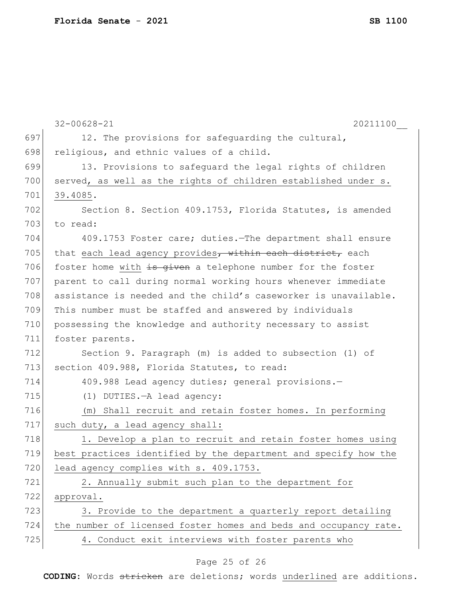|     | $32 - 00628 - 21$<br>20211100                                    |
|-----|------------------------------------------------------------------|
| 697 | 12. The provisions for safeguarding the cultural,                |
| 698 | religious, and ethnic values of a child.                         |
| 699 | 13. Provisions to safeguard the legal rights of children         |
| 700 | served, as well as the rights of children established under s.   |
| 701 | 39.4085.                                                         |
| 702 | Section 8. Section 409.1753, Florida Statutes, is amended        |
| 703 | to read:                                                         |
| 704 | 409.1753 Foster care; duties. The department shall ensure        |
| 705 | that each lead agency provides, within each district, each       |
| 706 | foster home with is given a telephone number for the foster      |
| 707 | parent to call during normal working hours whenever immediate    |
| 708 | assistance is needed and the child's caseworker is unavailable.  |
| 709 | This number must be staffed and answered by individuals          |
| 710 | possessing the knowledge and authority necessary to assist       |
| 711 | foster parents.                                                  |
| 712 | Section 9. Paragraph (m) is added to subsection (1) of           |
| 713 | section 409.988, Florida Statutes, to read:                      |
| 714 | 409.988 Lead agency duties; general provisions.-                 |
| 715 | (1) DUTIES. - A lead agency:                                     |
| 716 | (m) Shall recruit and retain foster homes. In performing         |
| 717 | such duty, a lead agency shall:                                  |
| 718 | 1. Develop a plan to recruit and retain foster homes using       |
| 719 | best practices identified by the department and specify how the  |
| 720 | lead agency complies with s. 409.1753.                           |
| 721 | 2. Annually submit such plan to the department for               |
| 722 | approval.                                                        |
| 723 | 3. Provide to the department a quarterly report detailing        |
| 724 | the number of licensed foster homes and beds and occupancy rate. |
| 725 | 4. Conduct exit interviews with foster parents who               |

## Page 25 of 26